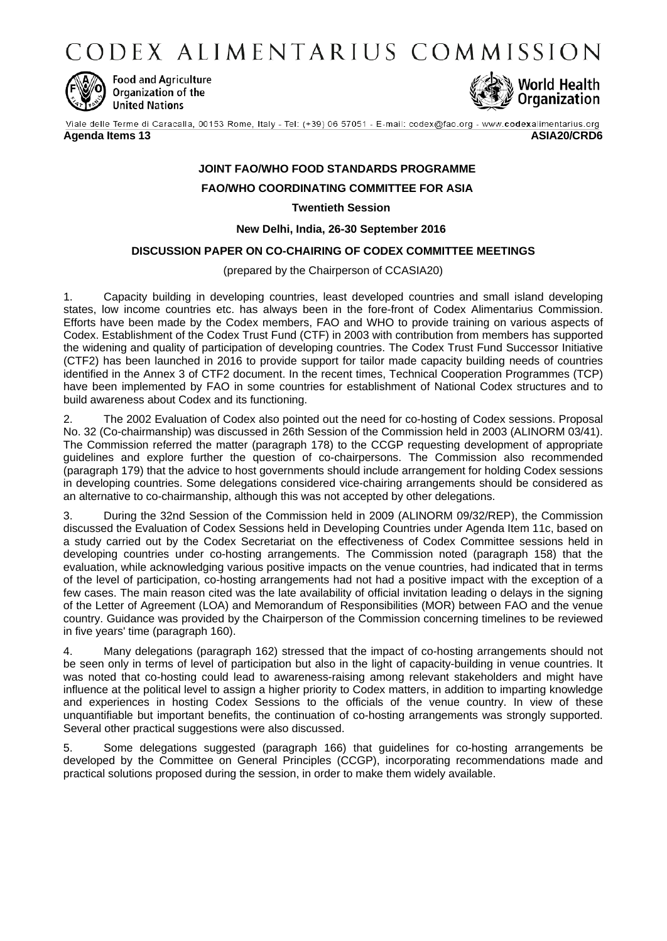CODEX ALIMENTARIUS COMMISSION



**Food and Agriculture** Organization of the **United Nations** 



Viale delle Terme di Caracalla, 00153 Rome, Italy - Tel: (+39) 06 57051 - E-mail: codex@fao.org - www.codexalimentarius.org **Agenda Items 13 ASIA20/CRD6**

# **JOINT FAO/WHO FOOD STANDARDS PROGRAMME**

# **FAO/WHO COORDINATING COMMITTEE FOR ASIA**

**Twentieth Session**

**New Delhi, India, 26-30 September 2016**

# **DISCUSSION PAPER ON CO-CHAIRING OF CODEX COMMITTEE MEETINGS**

(prepared by the Chairperson of CCASIA20)

1. Capacity building in developing countries, least developed countries and small island developing states, low income countries etc. has always been in the fore-front of Codex Alimentarius Commission. Efforts have been made by the Codex members, FAO and WHO to provide training on various aspects of Codex. Establishment of the Codex Trust Fund (CTF) in 2003 with contribution from members has supported the widening and quality of participation of developing countries. The Codex Trust Fund Successor Initiative (CTF2) has been launched in 2016 to provide support for tailor made capacity building needs of countries identified in the Annex 3 of CTF2 document. In the recent times, Technical Cooperation Programmes (TCP) have been implemented by FAO in some countries for establishment of National Codex structures and to build awareness about Codex and its functioning.

2. The 2002 Evaluation of Codex also pointed out the need for co-hosting of Codex sessions. Proposal No. 32 (Co-chairmanship) was discussed in 26th Session of the Commission held in 2003 (ALINORM 03/41). The Commission referred the matter (paragraph 178) to the CCGP requesting development of appropriate guidelines and explore further the question of co-chairpersons. The Commission also recommended (paragraph 179) that the advice to host governments should include arrangement for holding Codex sessions in developing countries. Some delegations considered vice-chairing arrangements should be considered as an alternative to co-chairmanship, although this was not accepted by other delegations.

3. During the 32nd Session of the Commission held in 2009 (ALINORM 09/32/REP), the Commission discussed the Evaluation of Codex Sessions held in Developing Countries under Agenda Item 11c, based on a study carried out by the Codex Secretariat on the effectiveness of Codex Committee sessions held in developing countries under co-hosting arrangements. The Commission noted (paragraph 158) that the evaluation, while acknowledging various positive impacts on the venue countries, had indicated that in terms of the level of participation, co-hosting arrangements had not had a positive impact with the exception of a few cases. The main reason cited was the late availability of official invitation leading o delays in the signing of the Letter of Agreement (LOA) and Memorandum of Responsibilities (MOR) between FAO and the venue country. Guidance was provided by the Chairperson of the Commission concerning timelines to be reviewed in five years' time (paragraph 160).

4. Many delegations (paragraph 162) stressed that the impact of co-hosting arrangements should not be seen only in terms of level of participation but also in the light of capacity-building in venue countries. It was noted that co-hosting could lead to awareness-raising among relevant stakeholders and might have influence at the political level to assign a higher priority to Codex matters, in addition to imparting knowledge and experiences in hosting Codex Sessions to the officials of the venue country. In view of these unquantifiable but important benefits, the continuation of co-hosting arrangements was strongly supported. Several other practical suggestions were also discussed.

5. Some delegations suggested (paragraph 166) that guidelines for co-hosting arrangements be developed by the Committee on General Principles (CCGP), incorporating recommendations made and practical solutions proposed during the session, in order to make them widely available.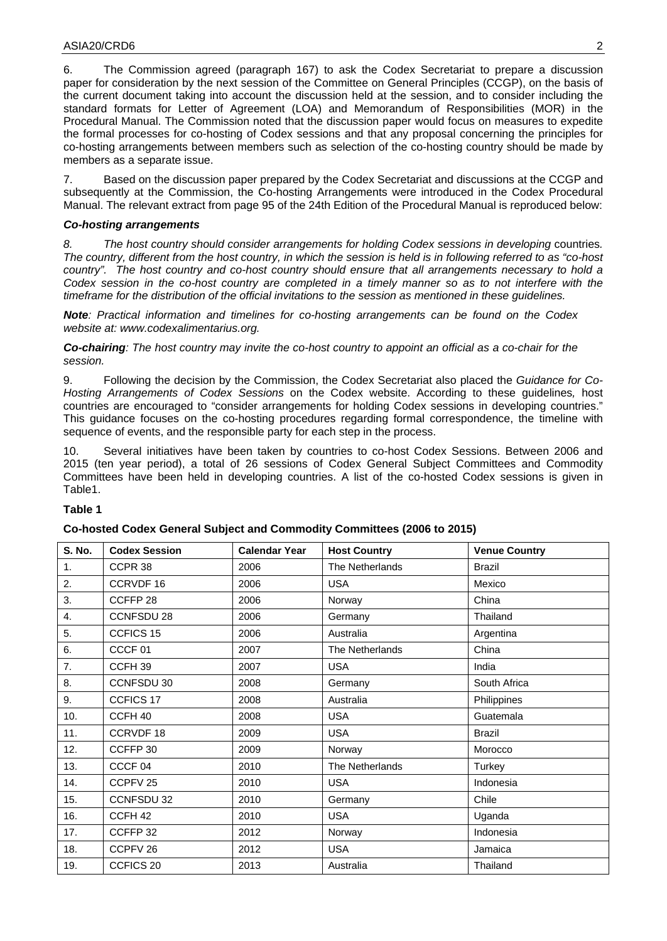6. The Commission agreed (paragraph 167) to ask the Codex Secretariat to prepare a discussion paper for consideration by the next session of the Committee on General Principles (CCGP), on the basis of the current document taking into account the discussion held at the session, and to consider including the standard formats for Letter of Agreement (LOA) and Memorandum of Responsibilities (MOR) in the Procedural Manual. The Commission noted that the discussion paper would focus on measures to expedite the formal processes for co-hosting of Codex sessions and that any proposal concerning the principles for co-hosting arrangements between members such as selection of the co-hosting country should be made by members as a separate issue.

7. Based on the discussion paper prepared by the Codex Secretariat and discussions at the CCGP and subsequently at the Commission, the Co-hosting Arrangements were introduced in the Codex Procedural Manual. The relevant extract from page 95 of the 24th Edition of the Procedural Manual is reproduced below:

## *Co-hosting arrangements*

*8. The host country should consider arrangements for holding Codex sessions in developing* countries*. The country, different from the host country, in which the session is held is in following referred to as "co-host country". The host country and co-host country should ensure that all arrangements necessary to hold a Codex session in the co-host country are completed in a timely manner so as to not interfere with the timeframe for the distribution of the official invitations to the session as mentioned in these guidelines.*

*Note: Practical information and timelines for co-hosting arrangements can be found on the Codex website at: www.codexalimentarius.org.*

*Co-chairing: The host country may invite the co-host country to appoint an official as a co-chair for the session.*

9. Following the decision by the Commission, the Codex Secretariat also placed the *Guidance for Co-Hosting Arrangements of Codex Sessions* on the Codex website. According to these guidelines*,* host countries are encouraged to "consider arrangements for holding Codex sessions in developing countries." This guidance focuses on the co-hosting procedures regarding formal correspondence, the timeline with sequence of events, and the responsible party for each step in the process.

10. Several initiatives have been taken by countries to co-host Codex Sessions. Between 2006 and 2015 (ten year period), a total of 26 sessions of Codex General Subject Committees and Commodity Committees have been held in developing countries. A list of the co-hosted Codex sessions is given in Table1.

## **Table 1**

#### **Co-hosted Codex General Subject and Commodity Committees (2006 to 2015)**

| <b>S. No.</b> | <b>Codex Session</b> | <b>Calendar Year</b> | <b>Host Country</b> | <b>Venue Country</b> |
|---------------|----------------------|----------------------|---------------------|----------------------|
| 1.            | CCPR 38              | 2006                 | The Netherlands     | <b>Brazil</b>        |
| 2.            | CCRVDF 16            | 2006                 | <b>USA</b>          | Mexico               |
| 3.            | CCFFP 28             | 2006                 | Norway              | China                |
| 4.            | <b>CCNFSDU 28</b>    | 2006                 | Germany             | Thailand             |
| 5.            | CCFICS 15            | 2006                 | Australia           | Argentina            |
| 6.            | CCCF <sub>01</sub>   | 2007                 | The Netherlands     | China                |
| 7.            | CCFH <sub>39</sub>   | 2007                 | <b>USA</b>          | India                |
| 8.            | CCNFSDU 30           | 2008                 | Germany             | South Africa         |
| 9.            | CCFICS 17            | 2008                 | Australia           | Philippines          |
| 10.           | CCFH <sub>40</sub>   | 2008                 | <b>USA</b>          | Guatemala            |
| 11.           | CCRVDF 18            | 2009                 | <b>USA</b>          | <b>Brazil</b>        |
| 12.           | CCFFP 30             | 2009                 | Norway              | Morocco              |
| 13.           | CCCF <sub>04</sub>   | 2010                 | The Netherlands     | Turkey               |
| 14.           | CCPFV <sub>25</sub>  | 2010                 | <b>USA</b>          | Indonesia            |
| 15.           | CCNFSDU 32           | 2010                 | Germany             | Chile                |
| 16.           | CCFH <sub>42</sub>   | 2010                 | <b>USA</b>          | Uganda               |
| 17.           | CCFFP 32             | 2012                 | Norway              | Indonesia            |
| 18.           | CCPFV 26             | 2012                 | <b>USA</b>          | Jamaica              |
| 19.           | CCFICS <sub>20</sub> | 2013                 | Australia           | Thailand             |